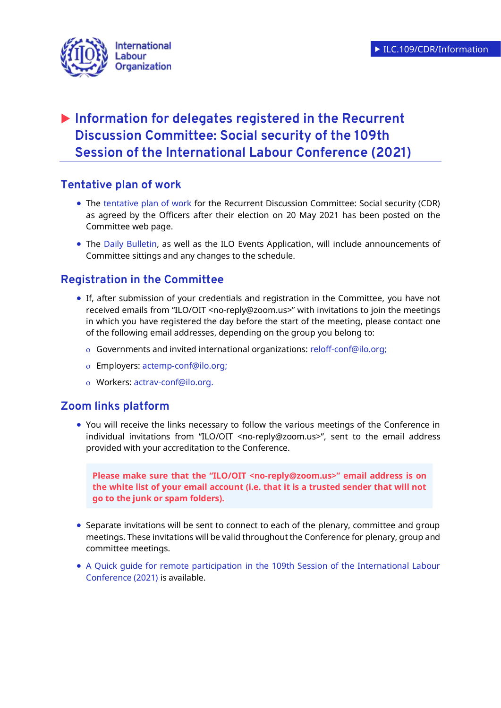

# **Information for delegates registered in the Recurrent Discussion Committee: Social security of the 109th Session of the International Labour Conference (2021)**

# **Tentative plan of work**

- The [tentative plan of work](https://www.ilo.org/wcmsp5/groups/public/---ed_norm/---relconf/documents/meetingdocument/wcms_794838.pdf) for the Recurrent Discussion Committee: Social security (CDR) as agreed by the Officers after their election on 20 May 2021 has been posted on the Committee web page.
- The [Daily Bulletin,](https://www.ilo.org/wcmsp5/groups/public/@ed_norm/@relconf/documents/meetingdocument/wcms_792167.pdf) as well as the ILO Events Application, will include announcements of Committee sittings and any changes to the schedule.

# **Registration in the Committee**

- If, after submission of your credentials and registration in the Committee, you have not received emails from "ILO/OIT <no-reply@zoom.us>" with invitations to join the meetings in which you have registered the day before the start of the meeting, please contact one of the following email addresses, depending on the group you belong to:
	- Governments and invited international organizations: [reloff-conf@ilo.org;](mailto:reloff-conf@ilo.org)
	- Employers: [actemp-conf@ilo.org;](mailto:actemp-conf@ilo.org)
	- Workers: [actrav-conf@ilo.org.](mailto:actrav-conf@ilo.org)

# **Zoom links platform**

• You will receive the links necessary to follow the various meetings of the Conference in individual invitations from "ILO/OIT <no-reply@zoom.us>", sent to the email address provided with your accreditation to the Conference.

**Please make sure that the "ILO/OIT <no-reply@zoom.us>" email address is on the white list of your email account (i.e. that it is a trusted sender that will not go to the junk or spam folders).**

- Separate invitations will be sent to connect to each of the plenary, committee and group meetings. These invitations will be valid throughout the Conference for plenary, group and committee meetings.
- A Quick guide for remote participation [in the 109th Session of the International Labour](https://www.ilo.org/ilc/ILCSessions/109/practical-information/WCMS_792440/lang--en/index.htm)  [Conference \(2021\)](https://www.ilo.org/ilc/ILCSessions/109/practical-information/WCMS_792440/lang--en/index.htm) is available.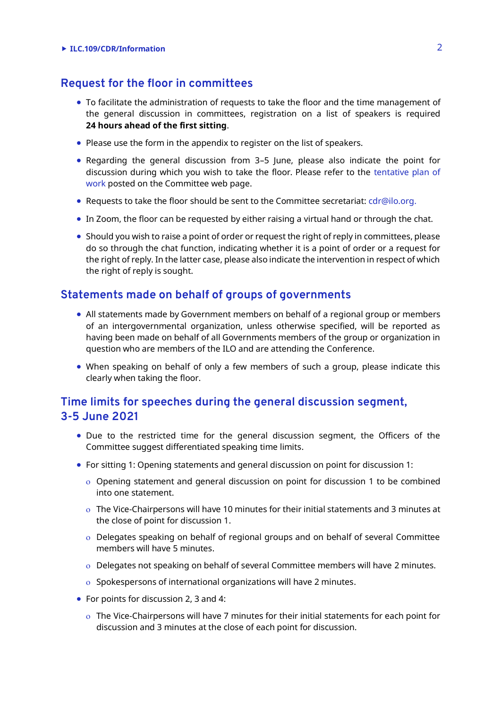#### **ILC.109/CDR/Information** 2

## **Request for the floor in committees**

- To facilitate the administration of requests to take the floor and the time management of the general discussion in committees, registration on a list of speakers is required **24 hours ahead of the first sitting**.
- Please use the form in the appendix to register on the list of speakers.
- Regarding the general discussion from 3–5 June, please also indicate the point for discussion during which you wish to take the floor. Please refer to the [tentative plan of](https://www.ilo.org/wcmsp5/groups/public/---ed_norm/---relconf/documents/meetingdocument/wcms_794838.pdf)  [work](https://www.ilo.org/wcmsp5/groups/public/---ed_norm/---relconf/documents/meetingdocument/wcms_794838.pdf) posted on the Committee web page.
- Requests to take the floor should be sent to the Committee secretariat: [cdr@ilo.org.](file://///ad.ilo.org/gva/SPROT/V-SPROT/SEC_SOC/SOC_FAS/COMMON/SECSOC%202005/ILC2020/Secretariat/cdr@ilo.org)
- In Zoom, the floor can be requested by either raising a virtual hand or through the chat.
- Should you wish to raise a point of order or request the right of reply in committees, please do so through the chat function, indicating whether it is a point of order or a request for the right of reply. In the latter case, please also indicate the intervention in respect of which the right of reply is sought.

## **Statements made on behalf of groups of governments**

- All statements made by Government members on behalf of a regional group or members of an intergovernmental organization, unless otherwise specified, will be reported as having been made on behalf of all Governments members of the group or organization in question who are members of the ILO and are attending the Conference.
- When speaking on behalf of only a few members of such a group, please indicate this clearly when taking the floor.

# **Time limits for speeches during the general discussion segment, 3-5 June 2021**

- Due to the restricted time for the general discussion segment, the Officers of the Committee suggest differentiated speaking time limits.
- For sitting 1: Opening statements and general discussion on point for discussion 1:
	- $\circ$  Opening statement and general discussion on point for discussion 1 to be combined into one statement.
	- The Vice-Chairpersons will have 10 minutes for their initial statements and 3 minutes at the close of point for discussion 1.
	- Delegates speaking on behalf of regional groups and on behalf of several Committee members will have 5 minutes.
	- Delegates not speaking on behalf of several Committee members will have 2 minutes.
	- $\circ$  Spokespersons of international organizations will have 2 minutes.
- For points for discussion 2, 3 and 4:
	- $\circ$  The Vice-Chairpersons will have 7 minutes for their initial statements for each point for discussion and 3 minutes at the close of each point for discussion.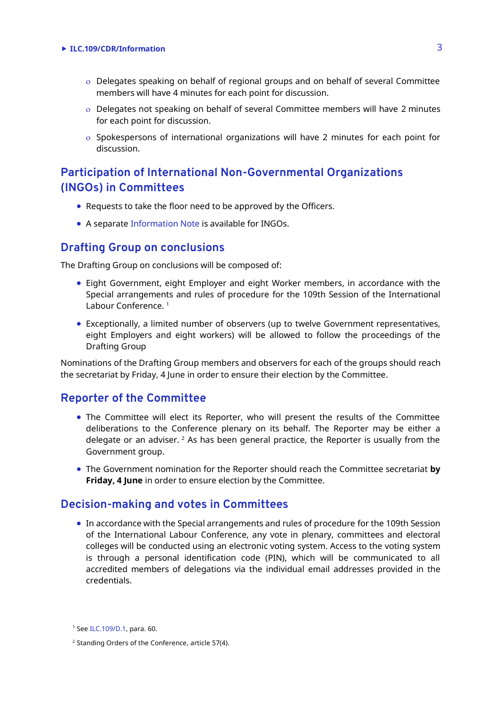#### **ILC.109/CDR/Information** 3

- Delegates speaking on behalf of regional groups and on behalf of several Committee members will have 4 minutes for each point for discussion.
- Delegates not speaking on behalf of several Committee members will have 2 minutes for each point for discussion.
- $\circ$  Spokespersons of international organizations will have 2 minutes for each point for discussion.

# **Participation of International Non-Governmental Organizations (INGOs) in Committees**

- Requests to take the floor need to be approved by the Officers.
- A separate [Information Note](https://www.ilo.org/wcmsp5/groups/public/---ed_norm/---relconf/documents/meetingdocument/wcms_795509.pdf) is available for INGOs.

#### **Drafting Group on conclusions**

The Drafting Group on conclusions will be composed of:

- Eight Government, eight Employer and eight Worker members, in accordance with the Special arrangements and rules of procedure for the 109th Session of the International Labour Conference.<sup>1</sup>
- Exceptionally, a limited number of observers (up to twelve Government representatives, eight Employers and eight workers) will be allowed to follow the proceedings of the Drafting Group

Nominations of the Drafting Group members and observers for each of the groups should reach the secretariat by Friday, 4 June in order to ensure their election by the Committee.

### **Reporter of the Committee**

- The Committee will elect its Reporter, who will present the results of the Committee deliberations to the Conference plenary on its behalf. The Reporter may be either a delegate or an adviser.  $2$  As has been general practice, the Reporter is usually from the Government group.
- The Government nomination for the Reporter should reach the Committee secretariat **by Friday, 4 June** in order to ensure election by the Committee.

#### **Decision-making and votes in Committees**

• In accordance with the Special arrangements and rules of procedure for the 109th Session of the International Labour Conference, any vote in plenary, committees and electoral colleges will be conducted using an electronic voting system. Access to the voting system is through a personal identification code (PIN), which will be communicated to all accredited members of delegations via the individual email addresses provided in the credentials.

<sup>1</sup> Se[e ILC.109/D.1,](https://www.ilo.org/wcmsp5/groups/public/---ed_norm/---relconf/documents/meetingdocument/wcms_791674.pdf) para. 60.

<sup>2</sup> Standing Orders of the Conference, article 57(4).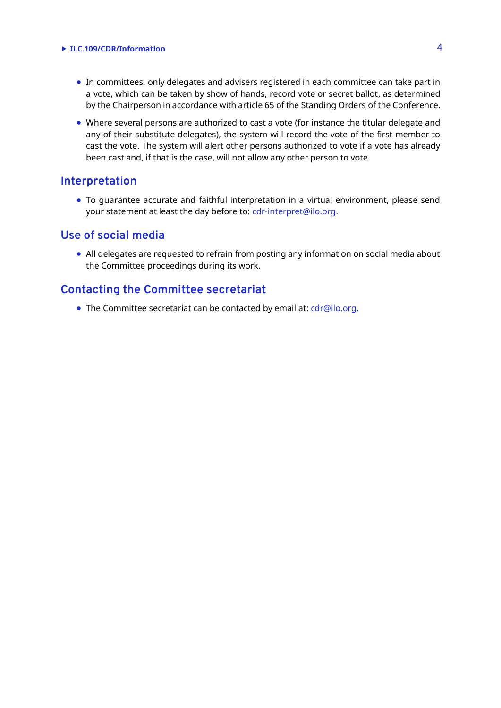#### **ILC.109/CDR/Information** 4

- In committees, only delegates and advisers registered in each committee can take part in a vote, which can be taken by show of hands, record vote or secret ballot, as determined by the Chairperson in accordance with article 65 of the Standing Orders of the Conference.
- Where several persons are authorized to cast a vote (for instance the titular delegate and any of their substitute delegates), the system will record the vote of the first member to cast the vote. The system will alert other persons authorized to vote if a vote has already been cast and, if that is the case, will not allow any other person to vote.

# **Interpretation**

• To guarantee accurate and faithful interpretation in a virtual environment, please send your statement at least the day before to: [cdr-interpret@ilo.org.](mailto:cdr-interpret@ilo.org)

### **Use of social media**

• All delegates are requested to refrain from posting any information on social media about the Committee proceedings during its work.

# **Contacting the Committee secretariat**

• The Committee secretariat can be contacted by email at: cdr@ilo.org.